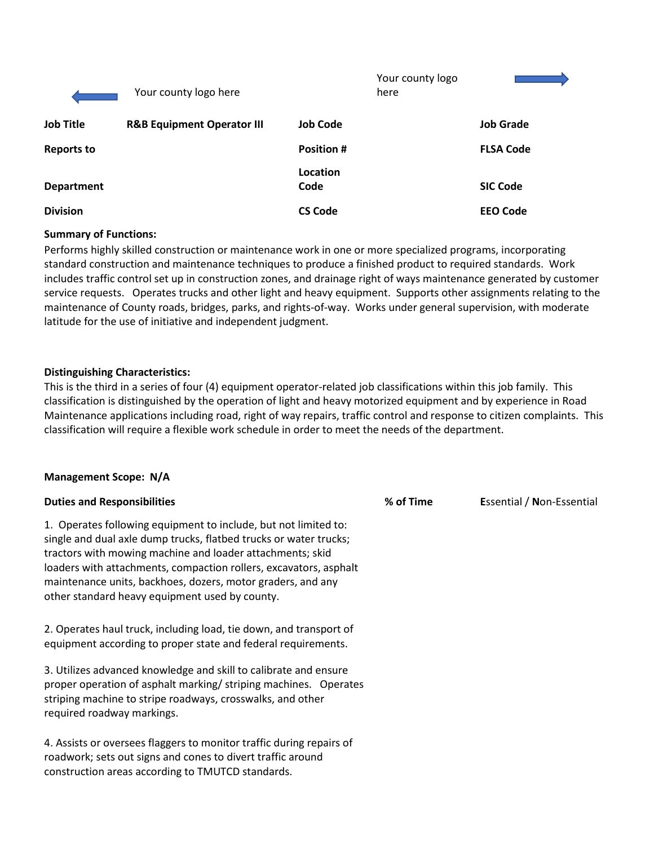|                   | Your county logo here                 |                   | Your county logo<br>here |                  |
|-------------------|---------------------------------------|-------------------|--------------------------|------------------|
| <b>Job Title</b>  | <b>R&amp;B Equipment Operator III</b> | <b>Job Code</b>   |                          | <b>Job Grade</b> |
| <b>Reports to</b> |                                       | <b>Position #</b> |                          | <b>FLSA Code</b> |
| <b>Department</b> |                                       | Location<br>Code  |                          | <b>SIC Code</b>  |
| <b>Division</b>   |                                       | <b>CS Code</b>    |                          | <b>EEO Code</b>  |

### **Summary of Functions:**

Performs highly skilled construction or maintenance work in one or more specialized programs, incorporating standard construction and maintenance techniques to produce a finished product to required standards. Work includes traffic control set up in construction zones, and drainage right of ways maintenance generated by customer service requests. Operates trucks and other light and heavy equipment. Supports other assignments relating to the maintenance of County roads, bridges, parks, and rights-of-way. Works under general supervision, with moderate latitude for the use of initiative and independent judgment.

## **Distinguishing Characteristics:**

This is the third in a series of four (4) equipment operator-related job classifications within this job family. This classification is distinguished by the operation of light and heavy motorized equipment and by experience in Road Maintenance applications including road, right of way repairs, traffic control and response to citizen complaints. This classification will require a flexible work schedule in order to meet the needs of the department.

### **Management Scope: N/A**

| <b>Duties and Responsibilities</b>                                                                                                                                                                                                                                                                                                                                                      | % of Time | <b>Essential / Non-Essential</b> |
|-----------------------------------------------------------------------------------------------------------------------------------------------------------------------------------------------------------------------------------------------------------------------------------------------------------------------------------------------------------------------------------------|-----------|----------------------------------|
| 1. Operates following equipment to include, but not limited to:<br>single and dual axle dump trucks, flatbed trucks or water trucks;<br>tractors with mowing machine and loader attachments; skid<br>loaders with attachments, compaction rollers, excavators, asphalt<br>maintenance units, backhoes, dozers, motor graders, and any<br>other standard heavy equipment used by county. |           |                                  |
| 2. Operates haul truck, including load, tie down, and transport of<br>equipment according to proper state and federal requirements.                                                                                                                                                                                                                                                     |           |                                  |
| 3. Utilizes advanced knowledge and skill to calibrate and ensure<br>proper operation of asphalt marking/striping machines. Operates<br>striping machine to stripe roadways, crosswalks, and other<br>required roadway markings.                                                                                                                                                         |           |                                  |
| 4. Assists or oversees flaggers to monitor traffic during repairs of<br>roadwork; sets out signs and cones to divert traffic around                                                                                                                                                                                                                                                     |           |                                  |

construction areas according to TMUTCD standards.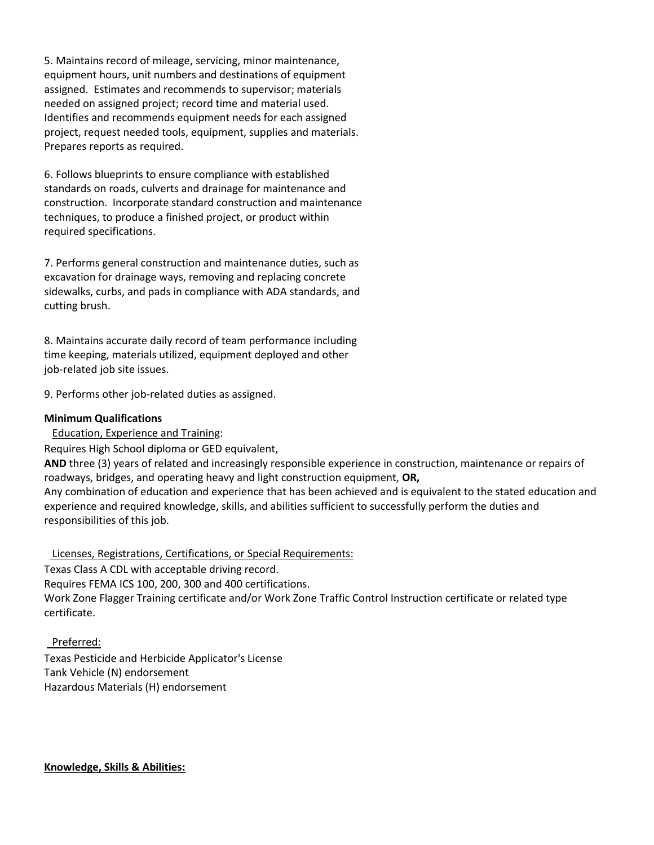5. Maintains record of mileage, servicing, minor maintenance, equipment hours, unit numbers and destinations of equipment assigned. Estimates and recommends to supervisor; materials needed on assigned project; record time and material used. Identifies and recommends equipment needs for each assigned project, request needed tools, equipment, supplies and materials. Prepares reports as required.

6. Follows blueprints to ensure compliance with established standards on roads, culverts and drainage for maintenance and construction. Incorporate standard construction and maintenance techniques, to produce a finished project, or product within required specifications.

7. Performs general construction and maintenance duties, such as excavation for drainage ways, removing and replacing concrete sidewalks, curbs, and pads in compliance with ADA standards, and cutting brush.

8. Maintains accurate daily record of team performance including time keeping, materials utilized, equipment deployed and other job-related job site issues.

9. Performs other job-related duties as assigned.

## **Minimum Qualifications**

Education, Experience and Training:

Requires High School diploma or GED equivalent,

**AND** three (3) years of related and increasingly responsible experience in construction, maintenance or repairs of roadways, bridges, and operating heavy and light construction equipment, **OR,**

Any combination of education and experience that has been achieved and is equivalent to the stated education and experience and required knowledge, skills, and abilities sufficient to successfully perform the duties and responsibilities of this job.

Licenses, Registrations, Certifications, or Special Requirements:

Texas Class A CDL with acceptable driving record. Requires FEMA ICS 100, 200, 300 and 400 certifications. Work Zone Flagger Training certificate and/or Work Zone Traffic Control Instruction certificate or related type certificate.

 Preferred: Texas Pesticide and Herbicide Applicator's License Tank Vehicle (N) endorsement Hazardous Materials (H) endorsement

**Knowledge, Skills & Abilities:**